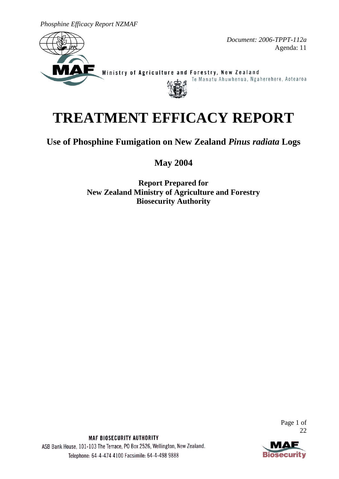*Phosphine Efficacy Report NZMAF*



*Document: 2006-TPPT-112a* Agenda: 11

Ministry of Agriculture and Forestry, New Zealand



# **TREATMENT EFFICACY REPORT**

**Use of Phosphine Fumigation on New Zealand** *Pinus radiata* **Logs**

**May 2004**

**Report Prepared for New Zealand Ministry of Agriculture and Forestry Biosecurity Authority**

> Page 1 of 22



MAF BIOSECURITY AUTHORITY ASB Bank House, 101-103 The Terrace, PO Box 2526, Wellington, New Zealand. Telephone: 64-4-474 4100 Facsimile: 64-4-498 9888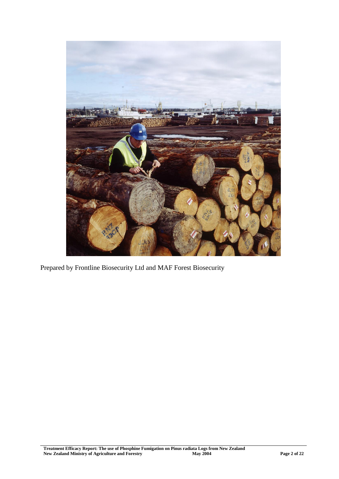

Prepared by Frontline Biosecurity Ltd and MAF Forest Biosecurity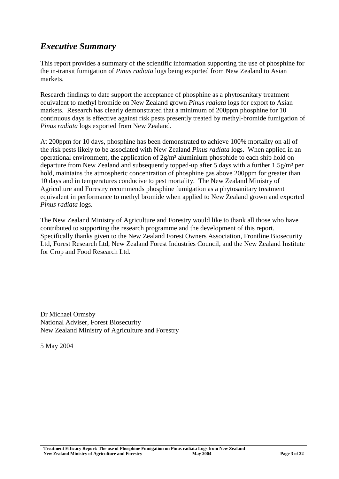# *Executive Summary*

This report provides a summary of the scientific information supporting the use of phosphine for the in-transit fumigation of *Pinus radiata* logs being exported from New Zealand to Asian markets.

Research findings to date support the acceptance of phosphine as a phytosanitary treatment equivalent to methyl bromide on New Zealand grown *Pinus radiata* logs for export to Asian markets. Research has clearly demonstrated that a minimum of 200ppm phosphine for 10 continuous days is effective against risk pests presently treated by methyl-bromide fumigation of *Pinus radiata* logs exported from New Zealand.

At 200ppm for 10 days, phosphine has been demonstrated to achieve 100% mortality on all of the risk pests likely to be associated with New Zealand *Pinus radiata* logs. When applied in an operational environment, the application of  $2g/m<sup>3</sup>$  aluminium phosphide to each ship hold on departure from New Zealand and subsequently topped-up after 5 days with a further  $1.5g/m<sup>3</sup>$  per hold, maintains the atmospheric concentration of phosphine gas above 200ppm for greater than 10 days and in temperatures conducive to pest mortality. The New Zealand Ministry of Agriculture and Forestry recommends phosphine fumigation as a phytosanitary treatment equivalent in performance to methyl bromide when applied to New Zealand grown and exported *Pinus radiata* logs.

The New Zealand Ministry of Agriculture and Forestry would like to thank all those who have contributed to supporting the research programme and the development of this report. Specifically thanks given to the New Zealand Forest Owners Association, Frontline Biosecurity Ltd, Forest Research Ltd, New Zealand Forest Industries Council, and the New Zealand Institute for Crop and Food Research Ltd.

Dr Michael Ormsby National Adviser, Forest Biosecurity New Zealand Ministry of Agriculture and Forestry

5 May 2004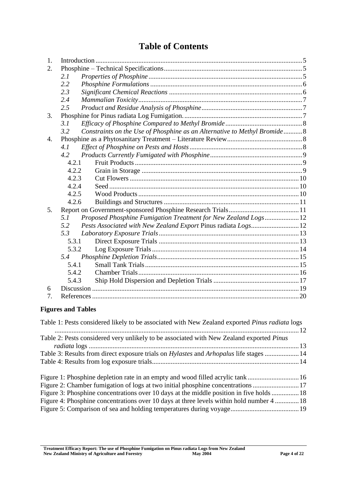# **Table of Contents**

| 1. |       |                                                                          |  |
|----|-------|--------------------------------------------------------------------------|--|
| 2. |       |                                                                          |  |
|    | 2.1   |                                                                          |  |
|    | 2.2   |                                                                          |  |
|    | 2.3   |                                                                          |  |
|    | 2.4   |                                                                          |  |
|    | 2.5   |                                                                          |  |
| 3. |       |                                                                          |  |
|    | 3.1   |                                                                          |  |
|    | 3.2   | Constraints on the Use of Phosphine as an Alternative to Methyl Bromide8 |  |
| 4. |       |                                                                          |  |
|    | 4.1   |                                                                          |  |
|    | 4.2   |                                                                          |  |
|    | 4.2.1 |                                                                          |  |
|    | 4.2.2 |                                                                          |  |
|    | 4.2.3 |                                                                          |  |
|    | 4.2.4 |                                                                          |  |
|    | 4.2.5 |                                                                          |  |
|    | 4.2.6 |                                                                          |  |
| 5. |       |                                                                          |  |
|    | 5.1   | Proposed Phosphine Fumigation Treatment for New Zealand Logs12           |  |
|    | 5.2   | Pests Associated with New Zealand Export Pinus radiata Logs 12           |  |
|    | 5.3   |                                                                          |  |
|    | 5.3.1 |                                                                          |  |
|    | 5.3.2 |                                                                          |  |
|    | 5.4   |                                                                          |  |
|    | 5.4.1 |                                                                          |  |
|    | 5.4.2 |                                                                          |  |
|    | 5.4.3 |                                                                          |  |
| 6  |       |                                                                          |  |
| 7. |       |                                                                          |  |

# **Figures and Tables**

| Table 1: Pests considered likely to be associated with New Zealand exported <i>Pinus radiata</i> logs |  |
|-------------------------------------------------------------------------------------------------------|--|
|                                                                                                       |  |
| Table 2: Pests considered very unlikely to be associated with New Zealand exported Pinus              |  |
|                                                                                                       |  |
| Table 3: Results from direct exposure trials on <i>Hylastes</i> and <i>Arhopalus</i> life stages  14  |  |
|                                                                                                       |  |
| Figure 1: Phosphine depletion rate in an empty and wood filled acrylic tank16                         |  |
| Figure 2: Chamber fumigation of logs at two initial phosphine concentrations 17                       |  |
| Figure 3: Phosphine concentrations over 10 days at the middle position in five holds 18               |  |
| Figure 4: Phosphine concentrations over 10 days at three levels within hold number 4  18              |  |
|                                                                                                       |  |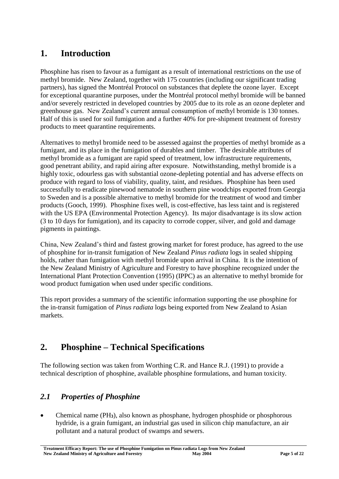# <span id="page-4-0"></span>**1. Introduction**

Phosphine has risen to favour as a fumigant as a result of international restrictions on the use of methyl bromide. New Zealand, together with 175 countries (including our significant trading partners), has signed the Montréal Protocol on substances that deplete the ozone layer. Except for exceptional quarantine purposes, under the Montréal protocol methyl bromide will be banned and/or severely restricted in developed countries by 2005 due to its role as an ozone depleter and greenhouse gas. New Zealand's current annual consumption of methyl bromide is 130 tonnes. Half of this is used for soil fumigation and a further 40% for pre-shipment treatment of forestry products to meet quarantine requirements.

Alternatives to methyl bromide need to be assessed against the properties of methyl bromide as a fumigant, and its place in the fumigation of durables and timber. The desirable attributes of methyl bromide as a fumigant are rapid speed of treatment, low infrastructure requirements, good penetrant ability, and rapid airing after exposure. Notwithstanding, methyl bromide is a highly toxic, odourless gas with substantial ozone-depleting potential and has adverse effects on produce with regard to loss of viability, quality, taint, and residues. Phosphine has been used successfully to eradicate pinewood nematode in southern pine woodchips exported from Georgia to Sweden and is a possible alternative to methyl bromide for the treatment of wood and timber products (Gooch, 1999). Phosphine fixes well, is cost-effective, has less taint and is registered with the US EPA (Environmental Protection Agency). Its major disadvantage is its slow action (3 to 10 days for fumigation), and its capacity to corrode copper, silver, and gold and damage pigments in paintings.

China, New Zealand's third and fastest growing market for forest produce, has agreed to the use of phosphine for in-transit fumigation of New Zealand *Pinus radiata* logs in sealed shipping holds, rather than fumigation with methyl bromide upon arrival in China. It is the intention of the New Zealand Ministry of Agriculture and Forestry to have phosphine recognized under the International Plant Protection Convention (1995) (IPPC) as an alternative to methyl bromide for wood product fumigation when used under specific conditions.

This report provides a summary of the scientific information supporting the use phosphine for the in-transit fumigation of *Pinus radiata* logs being exported from New Zealand to Asian markets.

# <span id="page-4-1"></span>**2. Phosphine – Technical Specifications**

The following section was taken from Worthing C.R. and Hance R.J. (1991) to provide a technical description of phosphine, available phosphine formulations, and human toxicity.

# <span id="page-4-2"></span>*2.1 Properties of Phosphine*

 Chemical name (PH**3**), also known as phosphane, hydrogen phosphide or phosphorous hydride, is a grain fumigant, an industrial gas used in silicon chip manufacture, an air pollutant and a natural product of swamps and sewers.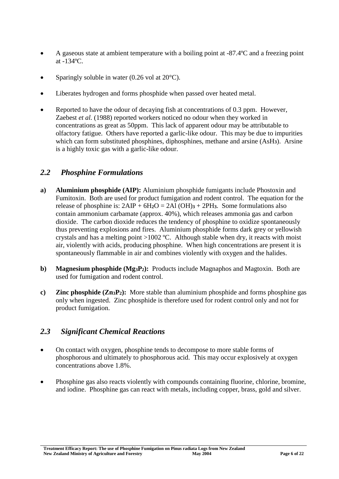- A gaseous state at ambient temperature with a boiling point at -87.4ºC and a freezing point at -134ºC.
- Sparingly soluble in water  $(0.26 \text{ vol at } 20^{\circ}\text{C})$ .
- Liberates hydrogen and forms phosphide when passed over heated metal.
- Reported to have the odour of decaying fish at concentrations of 0.3 ppm. However, Zaebest *et al.* (1988) reported workers noticed no odour when they worked in concentrations as great as 50ppm. This lack of apparent odour may be attributable to olfactory fatigue. Others have reported a garlic-like odour. This may be due to impurities which can form substituted phosphines, diphosphines, methane and arsine (AsH**3**). Arsine is a highly toxic gas with a garlic-like odour.

### <span id="page-5-0"></span>*2.2 Phosphine Formulations*

- **a) Aluminium phosphide (AIP):** Aluminium phosphide fumigants include Phostoxin and Fumitoxin. Both are used for product fumigation and rodent control. The equation for the release of phosphine is:  $2AIP + 6H_2O = 2Al(OH)3 + 2PH3$ . Some formulations also contain ammonium carbamate (approx. 40%), which releases ammonia gas and carbon dioxide. The carbon dioxide reduces the tendency of phosphine to oxidize spontaneously thus preventing explosions and fires. Aluminium phosphide forms dark grey or yellowish crystals and has a melting point  $>1002$  °C. Although stable when dry, it reacts with moist air, violently with acids, producing phosphine. When high concentrations are present it is spontaneously flammable in air and combines violently with oxygen and the halides.
- **b) Magnesium phosphide (Mg3P2):** Products include Magnaphos and Magtoxin. Both are used for fumigation and rodent control.
- **c) Zinc phosphide (Zn3P2):** More stable than aluminium phosphide and forms phosphine gas only when ingested. Zinc phosphide is therefore used for rodent control only and not for product fumigation.

### <span id="page-5-1"></span>*2.3 Significant Chemical Reactions*

- On contact with oxygen, phosphine tends to decompose to more stable forms of phosphorous and ultimately to phosphorous acid. This may occur explosively at oxygen concentrations above 1.8%.
- Phosphine gas also reacts violently with compounds containing fluorine, chlorine, bromine, and iodine. Phosphine gas can react with metals, including copper, brass, gold and silver.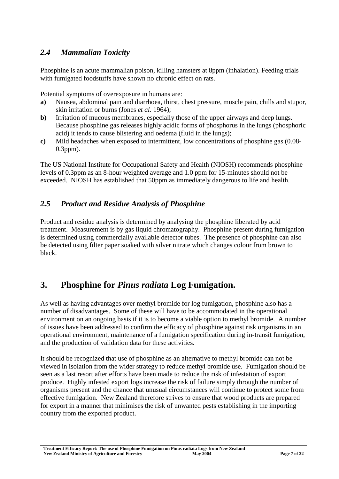# <span id="page-6-0"></span>*2.4 Mammalian Toxicity*

Phosphine is an acute mammalian poison, killing hamsters at 8ppm (inhalation). Feeding trials with fumigated foodstuffs have shown no chronic effect on rats.

Potential symptoms of overexposure in humans are:

- **a)** Nausea, abdominal pain and diarrhoea, thirst, chest pressure, muscle pain, chills and stupor, skin irritation or burns (Jones *et al*. 1964);
- **b**) Irritation of mucous membranes, especially those of the upper airways and deep lungs. Because phosphine gas releases highly acidic forms of phosphorus in the lungs (phosphoric acid) it tends to cause blistering and oedema (fluid in the lungs);
- **c)** Mild headaches when exposed to intermittent, low concentrations of phosphine gas (0.08- 0.3ppm).

The US National Institute for Occupational Safety and Health (NIOSH) recommends phosphine levels of 0.3ppm as an 8-hour weighted average and 1.0 ppm for 15-minutes should not be exceeded. NIOSH has established that 50ppm as immediately dangerous to life and health.

### <span id="page-6-1"></span>*2.5 Product and Residue Analysis of Phosphine*

Product and residue analysis is determined by analysing the phosphine liberated by acid treatment. Measurement is by gas liquid chromatography. Phosphine present during fumigation is determined using commercially available detector tubes. The presence of phosphine can also be detected using filter paper soaked with silver nitrate which changes colour from brown to black.

# <span id="page-6-2"></span>**3. Phosphine for** *Pinus radiata* **Log Fumigation.**

As well as having advantages over methyl bromide for log fumigation, phosphine also has a number of disadvantages. Some of these will have to be accommodated in the operational environment on an ongoing basis if it is to become a viable option to methyl bromide. A number of issues have been addressed to confirm the efficacy of phosphine against risk organisms in an operational environment, maintenance of a fumigation specification during in-transit fumigation, and the production of validation data for these activities.

It should be recognized that use of phosphine as an alternative to methyl bromide can not be viewed in isolation from the wider strategy to reduce methyl bromide use. Fumigation should be seen as a last resort after efforts have been made to reduce the risk of infestation of export produce. Highly infested export logs increase the risk of failure simply through the number of organisms present and the chance that unusual circumstances will continue to protect some from effective fumigation. New Zealand therefore strives to ensure that wood products are prepared for export in a manner that minimises the risk of unwanted pests establishing in the importing country from the exported product.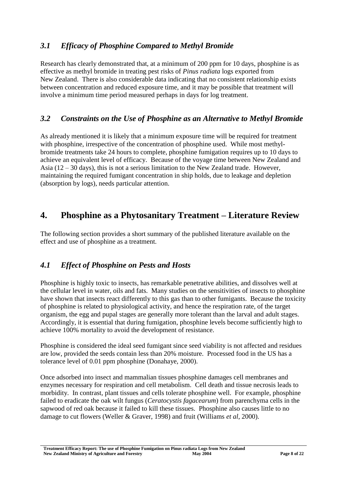# <span id="page-7-0"></span>*3.1 Efficacy of Phosphine Compared to Methyl Bromide*

Research has clearly demonstrated that, at a minimum of 200 ppm for 10 days, phosphine is as effective as methyl bromide in treating pest risks of *Pinus radiata* logs exported from New Zealand. There is also considerable data indicating that no consistent relationship exists between concentration and reduced exposure time, and it may be possible that treatment will involve a minimum time period measured perhaps in days for log treatment.

### <span id="page-7-1"></span>*3.2 Constraints on the Use of Phosphine as an Alternative to Methyl Bromide*

As already mentioned it is likely that a minimum exposure time will be required for treatment with phosphine, irrespective of the concentration of phosphine used. While most methylbromide treatments take 24 hours to complete, phosphine fumigation requires up to 10 days to achieve an equivalent level of efficacy. Because of the voyage time between New Zealand and Asia (12 – 30 days), this is not a serious limitation to the New Zealand trade. However, maintaining the required fumigant concentration in ship holds, due to leakage and depletion (absorption by logs), needs particular attention.

# <span id="page-7-2"></span>**4. Phosphine as a Phytosanitary Treatment – Literature Review**

The following section provides a short summary of the published literature available on the effect and use of phosphine as a treatment.

# <span id="page-7-3"></span>*4.1 Effect of Phosphine on Pests and Hosts*

Phosphine is highly toxic to insects, has remarkable penetrative abilities, and dissolves well at the cellular level in water, oils and fats. Many studies on the sensitivities of insects to phosphine have shown that insects react differently to this gas than to other fumigants. Because the toxicity of phosphine is related to physiological activity, and hence the respiration rate, of the target organism, the egg and pupal stages are generally more tolerant than the larval and adult stages. Accordingly, it is essential that during fumigation, phosphine levels become sufficiently high to achieve 100% mortality to avoid the development of resistance.

Phosphine is considered the ideal seed fumigant since seed viability is not affected and residues are low, provided the seeds contain less than 20% moisture. Processed food in the US has a tolerance level of 0.01 ppm phosphine (Donahaye, 2000).

Once adsorbed into insect and mammalian tissues phosphine damages cell membranes and enzymes necessary for respiration and cell metabolism. Cell death and tissue necrosis leads to morbidity. In contrast, plant tissues and cells tolerate phosphine well. For example, phosphine failed to eradicate the oak wilt fungus (*Ceratocystis fagacearum*) from parenchyma cells in the sapwood of red oak because it failed to kill these tissues.Phosphine also causes little to no damage to cut flowers (Weller & Graver, 1998) and fruit (Williams *et al*, 2000).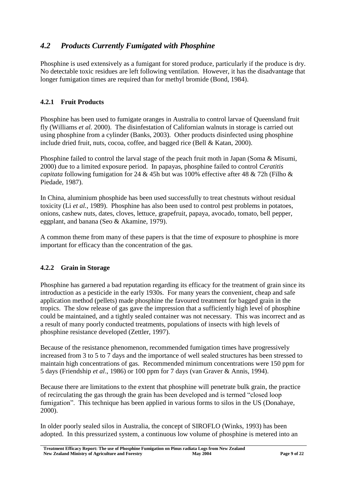# <span id="page-8-0"></span>*4.2 Products Currently Fumigated with Phosphine*

Phosphine is used extensively as a fumigant for stored produce, particularly if the produce is dry. No detectable toxic residues are left following ventilation. However, it has the disadvantage that longer fumigation times are required than for methyl bromide (Bond, 1984).

#### <span id="page-8-1"></span>**4.2.1 Fruit Products**

Phosphine has been used to fumigate oranges in Australia to control larvae of Queensland fruit fly (Williams *et al.* 2000). The disinfestation of Californian walnuts in storage is carried out using phosphine from a cylinder (Banks, 2003). Other products disinfected using phosphine include dried fruit, nuts, cocoa, coffee, and bagged rice (Bell & Katan, 2000).

Phosphine failed to control the larval stage of the peach fruit moth in Japan (Soma & Misumi, 2000) due to a limited exposure period. In papayas, phosphine failed to control *Ceratitis capitata* following fumigation for 24 & 45h but was 100% effective after 48 & 72h (Filho & Piedade, 1987).

In China, aluminium phosphide has been used successfully to treat chestnuts without residual toxicity (Li *et al.*, 1989). Phosphine has also been used to control pest problems in potatoes, onions, cashew nuts, dates, cloves, lettuce, grapefruit, papaya, avocado, tomato, bell pepper, eggplant, and banana (Seo & Akamine, 1979).

A common theme from many of these papers is that the time of exposure to phosphine is more important for efficacy than the concentration of the gas.

#### <span id="page-8-2"></span>**4.2.2 Grain in Storage**

Phosphine has garnered a bad reputation regarding its efficacy for the treatment of grain since its introduction as a pesticide in the early 1930s. For many years the convenient, cheap and safe application method (pellets) made phosphine the favoured treatment for bagged grain in the tropics. The slow release of gas gave the impression that a sufficiently high level of phosphine could be maintained, and a tightly sealed container was not necessary. This was incorrect and as a result of many poorly conducted treatments, populations of insects with high levels of phosphine resistance developed (Zettler, 1997).

Because of the resistance phenomenon, recommended fumigation times have progressively increased from 3 to 5 to 7 days and the importance of well sealed structures has been stressed to maintain high concentrations of gas. Recommended minimum concentrations were 150 ppm for 5 days (Friendship *et al*., 1986) or 100 ppm for 7 days (van Graver & Annis, 1994).

Because there are limitations to the extent that phosphine will penetrate bulk grain, the practice of recirculating the gas through the grain has been developed and is termed "closed loop fumigation". This technique has been applied in various forms to silos in the US (Donahave, 2000).

In older poorly sealed silos in Australia, the concept of SIROFLO (Winks, 1993) has been adopted. In this pressurized system, a continuous low volume of phosphine is metered into an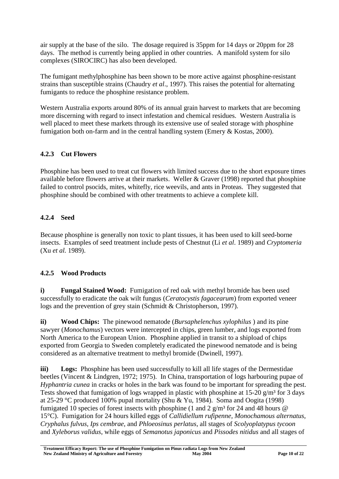air supply at the base of the silo. The dosage required is 35ppm for 14 days or 20ppm for 28 days. The method is currently being applied in other countries. A manifold system for silo complexes (SIROCIRC) has also been developed.

The fumigant methylphosphine has been shown to be more active against phosphine-resistant strains than susceptible strains (Chaudry *et al*., 1997). This raises the potential for alternating fumigants to reduce the phosphine resistance problem.

Western Australia exports around 80% of its annual grain harvest to markets that are becoming more discerning with regard to insect infestation and chemical residues. Western Australia is well placed to meet these markets through its extensive use of sealed storage with phosphine fumigation both on-farm and in the central handling system (Emery & Kostas, 2000).

#### <span id="page-9-0"></span>**4.2.3 Cut Flowers**

Phosphine has been used to treat cut flowers with limited success due to the short exposure times available before flowers arrive at their markets. Weller & Graver (1998) reported that phosphine failed to control psocids, mites, whitefly, rice weevils, and ants in Proteas. They suggested that phosphine should be combined with other treatments to achieve a complete kill.

#### <span id="page-9-1"></span>**4.2.4 Seed**

Because phosphine is generally non toxic to plant tissues, it has been used to kill seed-borne insects. Examples of seed treatment include pests of Chestnut (Li *et al*. 1989) and *Cryptomeria* (Xu *et al.* 1989).

### <span id="page-9-2"></span>**4.2.5 Wood Products**

**i) Fungal Stained Wood:** Fumigation of red oak with methyl bromide has been used successfully to eradicate the oak wilt fungus (*Ceratocystis fagacearum*) from exported veneer logs and the prevention of grey stain (Schmidt & Christopherson, 1997).

**ii) Wood Chips:** The pinewood nematode (*Bursaphelenchus xylophilus* ) and its pine sawyer (*Monochamus*) vectors were intercepted in chips, green lumber, and logs exported from North America to the European Union. Phosphine applied in transit to a shipload of chips exported from Georgia to Sweden completely eradicated the pinewood nematode and is being considered as an alternative treatment to methyl bromide (Dwinell, 1997).

**iii) Logs:** Phosphine has been used successfully to kill all life stages of the Dermestidae beetles (Vincent & Lindgren, 1972; 1975). In China, transportation of logs harbouring pupae of *Hyphantria cunea* in cracks or holes in the bark was found to be important for spreading the pest. Tests showed that fumigation of logs wrapped in plastic with phosphine at  $15{\text -}20$  g/m<sup>3</sup> for 3 days at 25-29 °C produced 100% pupal mortality (Shu & Yu, 1984). Soma and Oogita (1998) fumigated 10 species of forest insects with phosphine (1 and 2  $\sigma/m^3$  for 24 and 48 hours @ 15°C). Fumigation for 24 hours killed eggs of *Callidiellum rufipenne, Monochamous alternatus, Cryphalus fulvus, Ips cembrae*, and *Phloeosinus perlatus*, all stages of *Scolyoplatypus tycoon* and *Xyleborus validus*, while eggs of *Semanotus japonicus* and *Pissodes nitidus* and all stages of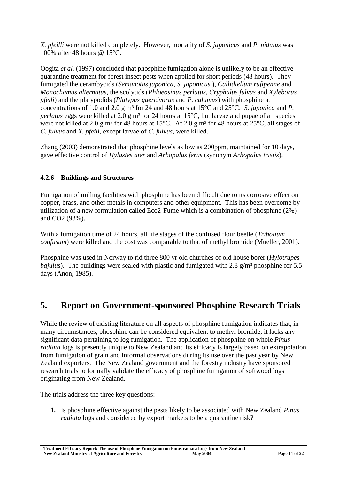*X. pfeilli* were not killed completely. However, mortality of *S. japonicus* and *P. nidulus* was 100% after 48 hours @ 15°C.

Oogita *et al.* (1997) concluded that phosphine fumigation alone is unlikely to be an effective quarantine treatment for forest insect pests when applied for short periods (48 hours). They fumigated the cerambycids (*Semanotus japonica, S. japonicus* ), *Callidiellum rufipenne* and *Monochamus alternatus*, the scolytids (*Phloeosinus perlatus, Cryphalus fulvus* and *Xyleborus pfeili*) and the platypodids (*Platypus quercivorus* and *P. calamus*) with phosphine at concentrations of 1.0 and 2.0 g m³ for 24 and 48 hours at 15°C and 25°C. *S. japonica* and *P. perlatus* eggs were killed at 2.0 g m<sup>3</sup> for 24 hours at 15<sup>o</sup>C, but larvae and pupae of all species were not killed at 2.0 g m<sup>3</sup> for 48 hours at 15°C. At 2.0 g m<sup>3</sup> for 48 hours at 25°C, all stages of *C. fulvus* and *X. pfeili*, except larvae of *C. fulvus*, were killed.

Zhang (2003) demonstrated that phosphine levels as low as 200ppm, maintained for 10 days, gave effective control of *Hylastes ater* and *Arhopalus ferus* (synonym *Arhopalus tristis*).

#### <span id="page-10-0"></span>**4.2.6 Buildings and Structures**

Fumigation of milling facilities with phosphine has been difficult due to its corrosive effect on copper, brass, and other metals in computers and other equipment. This has been overcome by utilization of a new formulation called Eco2-Fume which is a combination of phosphine (2%) and CO2 (98%).

With a fumigation time of 24 hours, all life stages of the confused flour beetle (*Tribolium confusum*) were killed and the cost was comparable to that of methyl bromide (Mueller, 2001).

Phosphine was used in Norway to rid three 800 yr old churches of old house borer (*Hylotrupes bajulus*). The buildings were sealed with plastic and fumigated with 2.8 g/m<sup>3</sup> phosphine for 5.5 days (Anon, 1985).

# <span id="page-10-1"></span>**5. Report on Government-sponsored Phosphine Research Trials**

While the review of existing literature on all aspects of phosphine fumigation indicates that, in many circumstances, phosphine can be considered equivalent to methyl bromide, it lacks any significant data pertaining to log fumigation. The application of phosphine on whole *Pinus radiata* logs is presently unique to New Zealand and its efficacy is largely based on extrapolation from fumigation of grain and informal observations during its use over the past year by New Zealand exporters. The New Zealand government and the forestry industry have sponsored research trials to formally validate the efficacy of phosphine fumigation of softwood logs originating from New Zealand.

The trials address the three key questions:

**1.** Is phosphine effective against the pests likely to be associated with New Zealand *Pinus radiata* logs and considered by export markets to be a quarantine risk?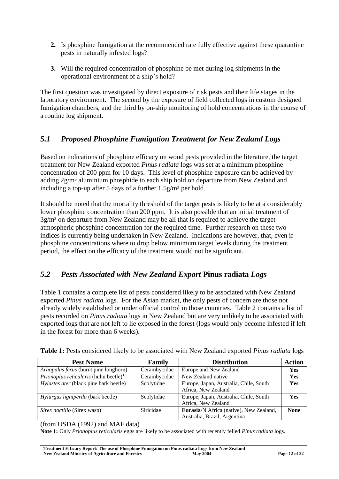- **2.** Is phosphine fumigation at the recommended rate fully effective against these quarantine pests in naturally infested logs?
- **3.** Will the required concentration of phosphine be met during log shipments in the operational environment of a ship's hold?

The first question was investigated by direct exposure of risk pests and their life stages in the laboratory environment. The second by the exposure of field collected logs in custom designed fumigation chambers, and the third by on-ship monitoring of hold concentrations in the course of a routine log shipment.

# <span id="page-11-0"></span>*5.1 Proposed Phosphine Fumigation Treatment for New Zealand Logs*

Based on indications of phosphine efficacy on wood pests provided in the literature, the target treatment for New Zealand exported *Pinus radiata* logs was set at a minimum phosphine concentration of 200 ppm for 10 days. This level of phosphine exposure can be achieved by adding 2g/m<sup>3</sup> aluminium phosphide to each ship hold on departure from New Zealand and including a top-up after 5 days of a further  $1.5g/m<sup>3</sup>$  per hold.

It should be noted that the mortality threshold of the target pests is likely to be at a considerably lower phosphine concentration than 200 ppm. It is also possible that an initial treatment of  $3g/m<sup>3</sup>$  on departure from New Zealand may be all that is required to achieve the target atmospheric phosphine concentration for the required time. Further research on these two indices is currently being undertaken in New Zealand. Indications are however, that, even if phosphine concentrations where to drop below minimum target levels during the treatment period, the effect on the efficacy of the treatment would not be significant.

# <span id="page-11-1"></span>*5.2 Pests Associated with New Zealand Export* **Pinus radiata** *Logs*

Table 1 contains a complete list of pests considered likely to be associated with New Zealand exported *Pinus radiata* logs. For the Asian market, the only pests of concern are those not already widely established or under official control in those countries. Table 2 contains a list of pests recorded on *Pinus radiata* logs in New Zealand but are very unlikely to be associated with exported logs that are not left to lie exposed in the forest (logs would only become infested if left in the forest for more than 6 weeks).

| <b>Pest Name</b>                                         | <b>Family</b> | <b>Distribution</b>                            | <b>Action</b> |
|----------------------------------------------------------|---------------|------------------------------------------------|---------------|
| Arhopalus ferus (burnt pine longhorn)                    | Cerambycidae  | Europe and New Zealand                         | <b>Yes</b>    |
| <i>Prionoplus reticularis</i> (huhu beetle) <sup>1</sup> | Cerambycidae  | New Zealand native                             | Yes           |
| Hylastes ater (black pine bark beetle)                   | Scolytidae    | Europe, Japan, Australia, Chile, South         | <b>Yes</b>    |
|                                                          |               | Africa, New Zealand                            |               |
| Hylurgus ligniperda (bark beetle)                        | Scolytidae    | Europe, Japan, Australia, Chile, South         | <b>Yes</b>    |
|                                                          |               | Africa, New Zealand                            |               |
| Sirex noctilio (Sirex wasp)                              | Siricidae     | <b>Eurasia/N</b> Africa (native), New Zealand, | <b>None</b>   |
|                                                          |               | Australia, Brazil, Argentina                   |               |

<span id="page-11-2"></span>**Table 1:** Pests considered likely to be associated with New Zealand exported *Pinus radiata* logs

(from USDA (1992) and MAF data)

**Note 1:** Only *Prionoplus reticularis* eggs are likely to be associated with recently felled *Pinus radiata* logs.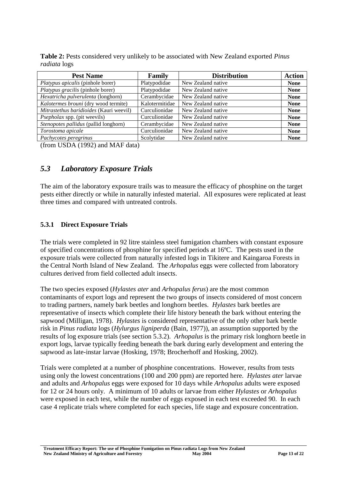| <b>Pest Name</b>                        | Family         | <b>Distribution</b> | <b>Action</b> |
|-----------------------------------------|----------------|---------------------|---------------|
| Platypus apicalis (pinhole borer)       | Platypodidae   | New Zealand native  | <b>None</b>   |
| Platypus gracilis (pinhole borer)       | Platypodidae   | New Zealand native  | <b>None</b>   |
| Hexatricha pulverulenta (longhorn)      | Cerambycidae   | New Zealand native  | <b>None</b>   |
| Kalotermes brouni (dry wood termite)    | Kalotermitidae | New Zealand native  | <b>None</b>   |
| Mitrastethus baridioides (Kauri weevil) | Curculionidae  | New Zealand native  | <b>None</b>   |
| <i>Psepholax</i> spp. (pit weevils)     | Curculionidae  | New Zealand native  | <b>None</b>   |
| Stenopotes pallidus (pallid longhorn)   | Cerambycidae   | New Zealand native  | <b>None</b>   |
| Torostoma apicale                       | Curculionidae  | New Zealand native  | <b>None</b>   |
| Pachycotes peregrinus                   | Scolytidae     | New Zealand native  | <b>None</b>   |

<span id="page-12-2"></span>**Table 2:** Pests considered very unlikely to be associated with New Zealand exported *Pinus radiata* logs

(from USDA (1992) and MAF data)

### <span id="page-12-0"></span>*5.3 Laboratory Exposure Trials*

The aim of the laboratory exposure trails was to measure the efficacy of phosphine on the target pests either directly or while in naturally infested material. All exposures were replicated at least three times and compared with untreated controls.

#### <span id="page-12-1"></span>**5.3.1 Direct Exposure Trials**

The trials were completed in 92 litre stainless steel fumigation chambers with constant exposure of specified concentrations of phosphine for specified periods at 16ºC. The pests used in the exposure trials were collected from naturally infested logs in Tikitere and Kaingaroa Forests in the Central North Island of New Zealand. The *Arhopalus* eggs were collected from laboratory cultures derived from field collected adult insects.

The two species exposed (*Hylastes ater* and *Arhopalus ferus*) are the most common contaminants of export logs and represent the two groups of insects considered of most concern to trading partners, namely bark beetles and longhorn beetles. *Hylastes* bark beetles are representative of insects which complete their life history beneath the bark without entering the sapwood (Milligan, 1978). *Hylastes* is considered representative of the only other bark beetle risk in *Pinus radiata* logs (*Hylurgus ligniperda* (Bain, 1977)), an assumption supported by the results of log exposure trials (see section 5.3.2). *Arhopalus* is the primary risk longhorn beetle in export logs, larvae typically feeding beneath the bark during early development and entering the sapwood as late-instar larvae (Hosking, 1978; Brocherhoff and Hosking, 2002).

Trials were completed at a number of phosphine concentrations. However, results from tests using only the lowest concentrations (100 and 200 ppm) are reported here. *Hylastes ater* larvae and adults and *Arhopalus* eggs were exposed for 10 days while *Arhopalus* adults were exposed for 12 or 24 hours only. A minimum of 10 adults or larvae from either *Hylastes* or *Arhopalus* were exposed in each test, while the number of eggs exposed in each test exceeded 90. In each case 4 replicate trials where completed for each species, life stage and exposure concentration.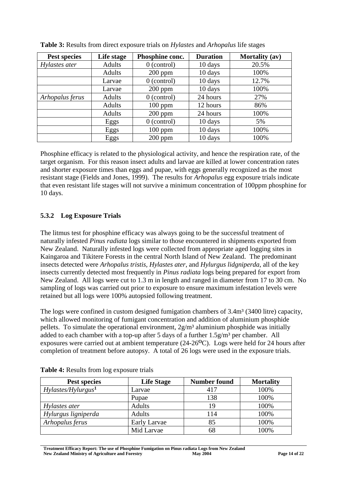| Pest species    | Life stage    | Phosphine conc. | <b>Duration</b> | <b>Mortality</b> (av) |
|-----------------|---------------|-----------------|-----------------|-----------------------|
| Hylastes ater   | <b>Adults</b> | $0$ (control)   | 10 days         | 20.5%                 |
|                 | <b>Adults</b> | $200$ ppm       | 10 days         | 100%                  |
|                 | Larvae        | $0$ (control)   | 10 days         | 12.7%                 |
|                 | Larvae        | $200$ ppm       | 10 days         | 100%                  |
| Arhopalus ferus | <b>Adults</b> | $0$ (control)   | 24 hours        | 27%                   |
|                 | Adults        | $100$ ppm       | 12 hours        | 86%                   |
|                 | Adults        | $200$ ppm       | 24 hours        | 100%                  |
|                 | Eggs          | $0$ (control)   | 10 days         | 5%                    |
|                 | Eggs          | $100$ ppm       | 10 days         | 100%                  |
|                 | Eggs          | $200$ ppm       | 10 days         | 100%                  |

<span id="page-13-1"></span>

| Table 3: Results from direct exposure trials on Hylastes and Arhopalus life stages |  |  |  |  |  |  |
|------------------------------------------------------------------------------------|--|--|--|--|--|--|
|------------------------------------------------------------------------------------|--|--|--|--|--|--|

Phosphine efficacy is related to the physiological activity, and hence the respiration rate, of the target organism. For this reason insect adults and larvae are killed at lower concentration rates and shorter exposure times than eggs and pupae, with eggs generally recognized as the most resistant stage (Fields and Jones, 1999). The results for *Arhopalus* egg exposure trials indicate that even resistant life stages will not survive a minimum concentration of 100ppm phosphine for 10 days.

#### <span id="page-13-0"></span>**5.3.2 Log Exposure Trials**

The litmus test for phosphine efficacy was always going to be the successful treatment of naturally infested *Pinus radiata* logs similar to those encountered in shipments exported from New Zealand. Naturally infested logs were collected from appropriate aged logging sites in Kaingaroa and Tikitere Forests in the central North Island of New Zealand. The predominant insects detected were *Arhopalus tristis, Hylastes ater*, and *Hylurgus lidgniperda*, all of the key insects currently detected most frequently in *Pinus radiata* logs being prepared for export from New Zealand. All logs were cut to 1.3 m in length and ranged in diameter from 17 to 30 cm. No sampling of logs was carried out prior to exposure to ensure maximum infestation levels were retained but all logs were 100% autopsied following treatment.

The logs were confined in custom designed fumigation chambers of 3.4m<sup>3</sup> (3400 litre) capacity, which allowed monitoring of fumigant concentration and addition of aluminium phosphide pellets. To simulate the operational environment,  $2g/m<sup>3</sup>$  aluminium phosphide was initially added to each chamber with a top-up after 5 days of a further  $1.5g/m<sup>3</sup>$  per chamber. All exposures were carried out at ambient temperature (24-26**<sup>O</sup>**C). Logs were held for 24 hours after completion of treatment before autopsy. A total of 26 logs were used in the exposure trials.

| Pest species                   | <b>Life Stage</b> | <b>Number found</b> | <b>Mortality</b> |
|--------------------------------|-------------------|---------------------|------------------|
| Hylastes/Hylurgus <sup>1</sup> | Larvae            | 417                 | 100%             |
|                                | Pupae             | 138                 | 100%             |
| Hylastes ater                  | <b>Adults</b>     | 19                  | 100%             |
| Hylurgus ligniperda            | <b>Adults</b>     | 114                 | 100%             |
| Arhopalus ferus                | Early Larvae      | 85                  | 100%             |
|                                | Mid Larvae        | 68                  | 100%             |

<span id="page-13-2"></span>**Table 4:** Results from log exposure trials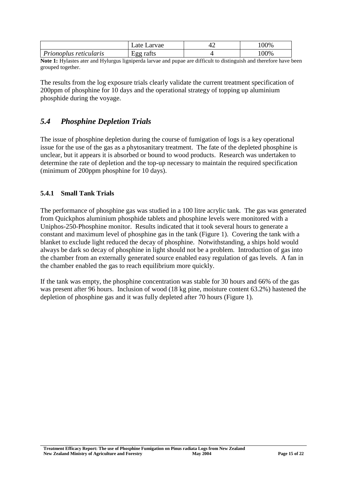|                        | Late Larvae | 00%  |
|------------------------|-------------|------|
| Prionoplus reticularis | Egg rafts   | 100% |

**Note 1:** Hylastes ater and Hylurgus ligniperda larvae and pupae are difficult to distinguish and therefore have been grouped together.

The results from the log exposure trials clearly validate the current treatment specification of 200ppm of phosphine for 10 days and the operational strategy of topping up aluminium phosphide during the voyage.

### <span id="page-14-0"></span>*5.4 Phosphine Depletion Trials*

The issue of phosphine depletion during the course of fumigation of logs is a key operational issue for the use of the gas as a phytosanitary treatment. The fate of the depleted phosphine is unclear, but it appears it is absorbed or bound to wood products. Research was undertaken to determine the rate of depletion and the top-up necessary to maintain the required specification (minimum of 200ppm phosphine for 10 days).

#### <span id="page-14-1"></span>**5.4.1 Small Tank Trials**

The performance of phosphine gas was studied in a 100 litre acrylic tank. The gas was generated from Quickphos aluminium phosphide tablets and phosphine levels were monitored with a Uniphos-250-Phosphine monitor. Results indicated that it took several hours to generate a constant and maximum level of phosphine gas in the tank (Figure 1). Covering the tank with a blanket to exclude light reduced the decay of phosphine. Notwithstanding, a ships hold would always be dark so decay of phosphine in light should not be a problem. Introduction of gas into the chamber from an externally generated source enabled easy regulation of gas levels. A fan in the chamber enabled the gas to reach equilibrium more quickly.

If the tank was empty, the phosphine concentration was stable for 30 hours and 66% of the gas was present after 96 hours. Inclusion of wood (18 kg pine, moisture content 63.2%) hastened the depletion of phosphine gas and it was fully depleted after 70 hours (Figure 1).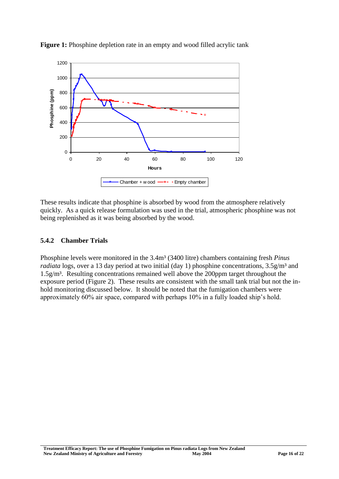

<span id="page-15-1"></span>**Figure 1:** Phosphine depletion rate in an empty and wood filled acrylic tank

These results indicate that phosphine is absorbed by wood from the atmosphere relatively quickly. As a quick release formulation was used in the trial, atmospheric phosphine was not being replenished as it was being absorbed by the wood.

#### <span id="page-15-0"></span>**5.4.2 Chamber Trials**

Phosphine levels were monitored in the 3.4m³ (3400 litre) chambers containing fresh *Pinus radiata* logs, over a 13 day period at two initial (day 1) phosphine concentrations, 3.5g/m<sup>3</sup> and 1.5g/m³. Resulting concentrations remained well above the 200ppm target throughout the exposure period (Figure 2). These results are consistent with the small tank trial but not the inhold monitoring discussed below. It should be noted that the fumigation chambers were approximately 60% air space, compared with perhaps 10% in a fully loaded ship's hold.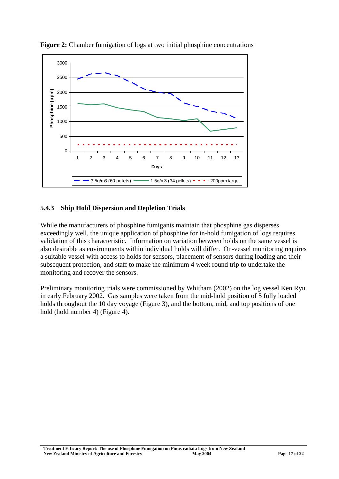

<span id="page-16-1"></span>**Figure 2:** Chamber fumigation of logs at two initial phosphine concentrations

#### <span id="page-16-0"></span>**5.4.3 Ship Hold Dispersion and Depletion Trials**

While the manufacturers of phosphine fumigants maintain that phosphine gas disperses exceedingly well, the unique application of phosphine for in-hold fumigation of logs requires validation of this characteristic. Information on variation between holds on the same vessel is also desirable as environments within individual holds will differ. On-vessel monitoring requires a suitable vessel with access to holds for sensors, placement of sensors during loading and their subsequent protection, and staff to make the minimum 4 week round trip to undertake the monitoring and recover the sensors.

Preliminary monitoring trials were commissioned by Whitham (2002) on the log vessel Ken Ryu in early February 2002. Gas samples were taken from the mid-hold position of 5 fully loaded holds throughout the 10 day voyage (Figure 3), and the bottom, mid, and top positions of one hold (hold number 4) (Figure 4).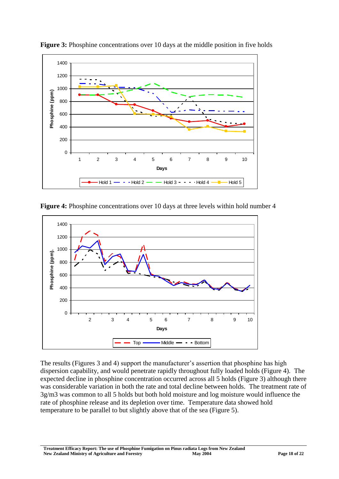

<span id="page-17-0"></span>**Figure 3:** Phosphine concentrations over 10 days at the middle position in five holds

<span id="page-17-1"></span>**Figure 4:** Phosphine concentrations over 10 days at three levels within hold number 4



The results (Figures 3 and 4) support the manufacturer's assertion that phosphine has high dispersion capability, and would penetrate rapidly throughout fully loaded holds (Figure 4). The expected decline in phosphine concentration occurred across all 5 holds (Figure 3) although there was considerable variation in both the rate and total decline between holds. The treatment rate of 3g/m3 was common to all 5 holds but both hold moisture and log moisture would influence the rate of phosphine release and its depletion over time. Temperature data showed hold temperature to be parallel to but slightly above that of the sea (Figure 5).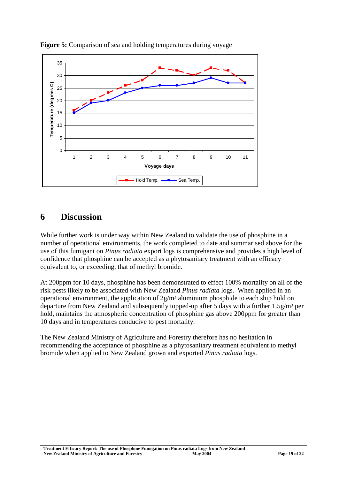

<span id="page-18-1"></span>

# <span id="page-18-0"></span>**6 Discussion**

While further work is under way within New Zealand to validate the use of phosphine in a number of operational environments, the work completed to date and summarised above for the use of this fumigant on *Pinus radiata* export logs is comprehensive and provides a high level of confidence that phosphine can be accepted as a phytosanitary treatment with an efficacy equivalent to, or exceeding, that of methyl bromide.

At 200ppm for 10 days, phosphine has been demonstrated to effect 100% mortality on all of the risk pests likely to be associated with New Zealand *Pinus radiata* logs. When applied in an operational environment, the application of  $2g/m<sup>3</sup>$  aluminium phosphide to each ship hold on departure from New Zealand and subsequently topped-up after 5 days with a further  $1.5g/m<sup>3</sup>$  per hold, maintains the atmospheric concentration of phosphine gas above 200ppm for greater than 10 days and in temperatures conducive to pest mortality.

The New Zealand Ministry of Agriculture and Forestry therefore has no hesitation in recommending the acceptance of phosphine as a phytosanitary treatment equivalent to methyl bromide when applied to New Zealand grown and exported *Pinus radiata* logs.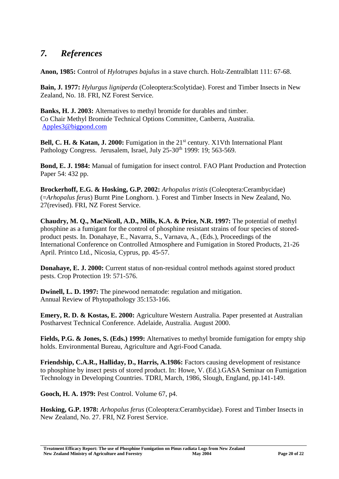# <span id="page-19-0"></span>*7. References*

**Anon, 1985:** Control of *Hylotrupes bajulus* in a stave church. Holz-Zentralblatt 111: 67-68.

**Bain, J. 1977:** *Hylurgus ligniperda* (Coleoptera:Scolytidae). Forest and Timber Insects in New Zealand, No. 18. FRI, NZ Forest Service.

**Banks, H. J. 2003:** Alternatives to methyl bromide for durables and timber. Co Chair Methyl Bromide Technical Options Committee, Canberra, Australia. [Apples3@bigpond.com](mailto:Apples3@bigpond.com)

**Bell, C. H. & Katan, J. 2000:** Fumigation in the 21<sup>st</sup> century. X1Vth International Plant Pathology Congress. Jerusalem, Israel, July 25-30<sup>th</sup> 1999: 19; 563-569.

**Bond, E. J. 1984:** Manual of fumigation for insect control. FAO Plant Production and Protection Paper 54: 432 pp.

**Brockerhoff, E.G. & Hosking, G.P. 2002:** *Arhopalus tristis* (Coleoptera:Cerambycidae) (=*Arhopalus ferus*) Burnt Pine Longhorn. ). Forest and Timber Insects in New Zealand, No. 27(revised). FRI, NZ Forest Service.

**Chaudry, M. Q., MacNicoll, A.D., Mills, K.A. & Price, N.R. 1997:** The potential of methyl phosphine as a fumigant for the control of phosphine resistant strains of four species of storedproduct pests. In. Donahaye, E., Navarra, S., Varnava, A., (Eds.), Proceedings of the International Conference on Controlled Atmosphere and Fumigation in Stored Products, 21-26 April. Printco Ltd., Nicosia, Cyprus, pp. 45-57.

**Donahave, E. J. 2000:** Current status of non-residual control methods against stored product pests. Crop Protection 19: 571-576.

**Dwinell, L. D. 1997:** The pinewood nematode: regulation and mitigation. Annual Review of Phytopathology 35:153-166.

**Emery, R. D. & Kostas, E. 2000:** Agriculture Western Australia. Paper presented at Australian Postharvest Technical Conference. Adelaide, Australia. August 2000.

**Fields, P.G. & Jones, S. (Eds.) 1999:** Alternatives to methyl bromide fumigation for empty ship holds. Environmental Bureau, Agriculture and Agri-Food Canada.

**Friendship, C.A.R., Halliday, D., Harris, A.1986:** Factors causing development of resistance to phosphine by insect pests of stored product. In: Howe, V. (Ed.).GASA Seminar on Fumigation Technology in Developing Countries. TDRI, March, 1986, Slough, England, pp.141-149.

**Gooch, H. A. 1979:** Pest Control. Volume 67, p4.

**Hosking, G.P. 1978:** *Arhopalus ferus* (Coleoptera:Cerambycidae). Forest and Timber Insects in New Zealand, No. 27. FRI, NZ Forest Service.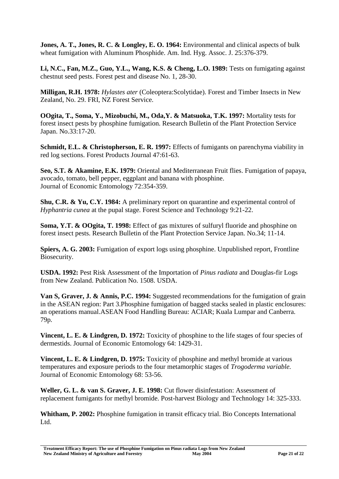**Jones, A. T., Jones, R. C. & Longley, E. O. 1964:** Environmental and clinical aspects of bulk wheat fumigation with Aluminum Phosphide. Am. Ind. Hyg. Assoc. J. 25:376-379.

**Li, N.C., Fan, M.Z., Guo, Y.L., Wang, K.S. & Cheng, L.O. 1989:** Tests on fumigating against chestnut seed pests. Forest pest and disease No. 1, 28-30.

**Milligan, R.H. 1978:** *Hylastes ater* (Coleoptera:Scolytidae). Forest and Timber Insects in New Zealand, No. 29. FRI, NZ Forest Service.

**OOgita, T., Soma, Y., Mizobuchi, M., Oda,Y. & Matsuoka, T.K. 1997:** Mortality tests for forest insect pests by phosphine fumigation. Research Bulletin of the Plant Protection Service Japan. No.33:17-20.

**Schmidt, E.L. & Christopherson, E. R. 1997:** Effects of fumigants on parenchyma viability in red log sections. Forest Products Journal 47:61-63.

**Seo, S.T. & Akamine, E.K. 1979:** Oriental and Mediterranean Fruit flies. Fumigation of papaya, avocado, tomato, bell pepper, eggplant and banana with phosphine. Journal of Economic Entomology 72:354-359.

**Shu, C.R. & Yu, C.Y. 1984:** A preliminary report on quarantine and experimental control of *Hyphantria cunea* at the pupal stage. Forest Science and Technology 9:21-22.

**Soma, Y.T. & OOgita, T. 1998:** Effect of gas mixtures of sulfuryl fluoride and phosphine on forest insect pests. Research Bulletin of the Plant Protection Service Japan. No.34; 11-14.

**Spiers, A. G. 2003:** Fumigation of export logs using phosphine. Unpublished report, Frontline Biosecurity.

**USDA. 1992:** Pest Risk Assessment of the Importation of *Pinus radiata* and Douglas-fir Logs from New Zealand. Publication No. 1508. USDA.

**Van S, Graver, J. & Annis, P.C. 1994:** Suggested recommendations for the fumigation of grain in the ASEAN region: Part 3.Phosphine fumigation of bagged stacks sealed in plastic enclosures: an operations manual.ASEAN Food Handling Bureau: ACIAR; Kuala Lumpar and Canberra. 79p.

**Vincent, L. E. & Lindgren, D. 1972:** Toxicity of phosphine to the life stages of four species of dermestids. Journal of Economic Entomology 64: 1429-31.

**Vincent, L. E. & Lindgren, D. 1975:** Toxicity of phosphine and methyl bromide at various temperatures and exposure periods to the four metamorphic stages of *Trogoderma variable.* Journal of Economic Entomology 68: 53-56.

**Weller, G. L. & van S. Graver, J. E. 1998:** Cut flower disinfestation: Assessment of replacement fumigants for methyl bromide. Post-harvest Biology and Technology 14: 325-333.

**Whitham, P. 2002:** Phosphine fumigation in transit efficacy trial. Bio Concepts International L<sub>td</sub>